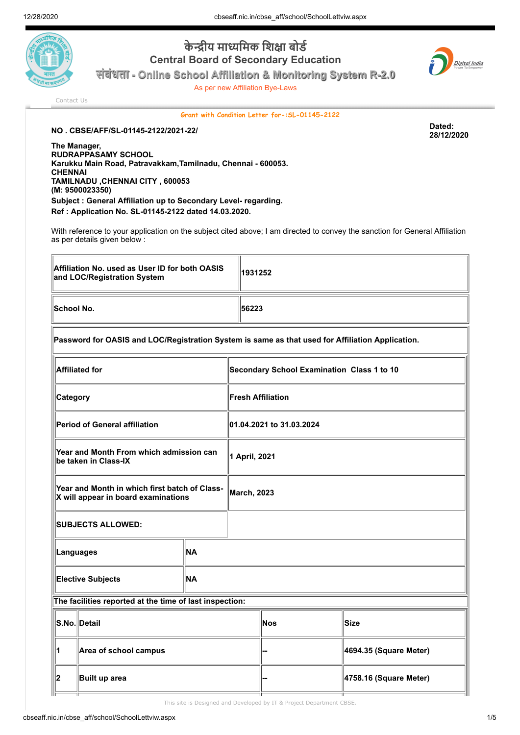

**केीय मािमक िशा बोड Central Board of Secondary Education संबंधता - Online School Affiliation & Monitoring System R-2.0**

As per new Affiliation Bye-Laws



[Contact Us](http://cbseaff.nic.in/cbse_aff/help.aspx)

## **Grant with Condition Letter for-:SL-01145-2122**

**NO . CBSE/AFF/SL-01145-2122/2021-22/ Dated:**

**28/12/2020**

**The Manager, RUDRAPPASAMY SCHOOL Karukku Main Road, Patravakkam,Tamilnadu, Chennai - 600053. CHENNAI TAMILNADU ,CHENNAI CITY , 600053 (M: 9500023350) Subject : General Affiliation up to Secondary Level- regarding. Ref : Application No. SL-01145-2122 dated 14.03.2020.**

With reference to your application on the subject cited above; I am directed to convey the sanction for General Affiliation as per details given below :

| Affiliation No. used as User ID for both OASIS<br>and LOC/Registration System                    |    |                                            | 1931252 |                        |  |  |  |
|--------------------------------------------------------------------------------------------------|----|--------------------------------------------|---------|------------------------|--|--|--|
| School No.                                                                                       |    | 56223                                      |         |                        |  |  |  |
| Password for OASIS and LOC/Registration System is same as that used for Affiliation Application. |    |                                            |         |                        |  |  |  |
| <b>Affiliated for</b>                                                                            |    | Secondary School Examination Class 1 to 10 |         |                        |  |  |  |
| <b>Category</b>                                                                                  |    | <b>Fresh Affiliation</b>                   |         |                        |  |  |  |
| Period of General affiliation                                                                    |    | 01.04.2021 to 31.03.2024                   |         |                        |  |  |  |
| Year and Month From which admission can<br>be taken in Class-IX                                  |    | 1 April, 2021                              |         |                        |  |  |  |
| Year and Month in which first batch of Class-<br>X will appear in board examinations             |    | <b>March, 2023</b>                         |         |                        |  |  |  |
| <u>SUBJECTS ALLOWED:</u>                                                                         |    |                                            |         |                        |  |  |  |
| NA<br>Languages                                                                                  |    |                                            |         |                        |  |  |  |
| <b>Elective Subjects</b>                                                                         | NA |                                            |         |                        |  |  |  |
| The facilities reported at the time of last inspection:                                          |    |                                            |         |                        |  |  |  |
| S.No. Detail                                                                                     |    |                                            | Nos     | <b>Size</b>            |  |  |  |
| Area of school campus                                                                            |    |                                            |         | 4694.35 (Square Meter) |  |  |  |
| 2<br>Built up area                                                                               |    |                                            |         | 4758.16 (Square Meter) |  |  |  |

**3 Area of play ground -- 1668.88 (Square Meter)** This site is Designed and Developed by IT & Project Department CBSE.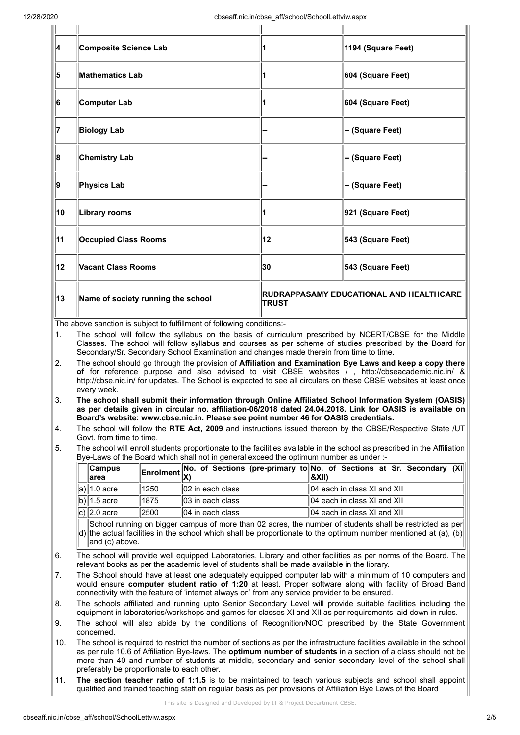| ∥4  | Composite Science Lab              |                                                                | 1194 (Square Feet) |
|-----|------------------------------------|----------------------------------------------------------------|--------------------|
| ∥5  | <b>Mathematics Lab</b>             |                                                                | 604 (Square Feet)  |
| 16  | Computer Lab                       |                                                                | 604 (Square Feet)  |
| 17  | <b>Biology Lab</b>                 |                                                                | -- (Square Feet)   |
| ∥8  | <b>Chemistry Lab</b>               |                                                                | -- (Square Feet)   |
| ∥9  | Physics Lab                        |                                                                | -- (Square Feet)   |
| ∥10 | <b>Library rooms</b>               |                                                                | 921 (Square Feet)  |
| ∥11 | <b>Occupied Class Rooms</b>        | 12                                                             | 543 (Square Feet)  |
| ∥12 | Vacant Class Rooms                 | 30                                                             | 543 (Square Feet)  |
| ∥13 | Name of society running the school | <b>RUDRAPPASAMY EDUCATIONAL AND HEALTHCARE</b><br><b>TRUST</b> |                    |

The above sanction is subject to fulfillment of following conditions:-

1. The school will follow the syllabus on the basis of curriculum prescribed by NCERT/CBSE for the Middle Classes. The school will follow syllabus and courses as per scheme of studies prescribed by the Board for Secondary/Sr. Secondary School Examination and changes made therein from time to time.

- 2. The school should go through the provision of **Affiliation and Examination Bye Laws and keep a copy there of** for reference purpose and also advised to visit CBSE websites / , http://cbseacademic.nic.in/ & http://cbse.nic.in/ for updates. The School is expected to see all circulars on these CBSE websites at least once every week.
- 3. **The school shall submit their information through Online Affiliated School Information System (OASIS) as per details given in circular no. affiliation-06/2018 dated 24.04.2018. Link for OASIS is available on Board's website: www.cbse.nic.in. Please see point number 46 for OASIS credentials.**
- 4. The school will follow the **RTE Act, 2009** and instructions issued thereon by the CBSE/Respective State /UT Govt. from time to time.
- 5. The school will enroll students proportionate to the facilities available in the school as prescribed in the Affiliation Bye-Laws of the Board which shall not in general exceed the optimum number as under :-

| $\ $ Campus<br>∥area |      |                              | Enrolment No. of Sections (pre-primary to No. of Sections at Sr. Secondary $(X)$<br>  &XII) |
|----------------------|------|------------------------------|---------------------------------------------------------------------------------------------|
| a)∥1.0 acre          | 1250 | $  02$ in each class         | $\parallel$ 04 each in class XI and XII                                                     |
| b)  1.5 acre         | 1875 | $\parallel$ 03 in each class | $\parallel$ 04 each in class XI and XII                                                     |
| c) 2.0 acre          | 2500 | $  04$ in each class         | $\parallel$ 04 each in class XI and XII                                                     |

d) the actual facilities in the school which shall be proportionate to the optimum number mentioned at (a), (b) School running on bigger campus of more than 02 acres, the number of students shall be restricted as per and (c) above.

- 6. The school will provide well equipped Laboratories, Library and other facilities as per norms of the Board. The relevant books as per the academic level of students shall be made available in the library.
- 7. The School should have at least one adequately equipped computer lab with a minimum of 10 computers and would ensure **computer student ratio of 1:20** at least. Proper software along with facility of Broad Band connectivity with the feature of 'internet always on' from any service provider to be ensured.
- 8. The schools affiliated and running upto Senior Secondary Level will provide suitable facilities including the equipment in laboratories/workshops and games for classes XI and XII as per requirements laid down in rules.
- 9. The school will also abide by the conditions of Recognition/NOC prescribed by the State Government concerned.
- 10. The school is required to restrict the number of sections as per the infrastructure facilities available in the school as per rule 10.6 of Affiliation Bye-laws. The **optimum number of students** in a section of a class should not be more than 40 and number of students at middle, secondary and senior secondary level of the school shall preferably be proportionate to each other.
- 11. **The section teacher ratio of 1:1.5** is to be maintained to teach various subjects and school shall appoint qualified and trained teaching staff on regular basis as per provisions of Affiliation Bye Laws of the Board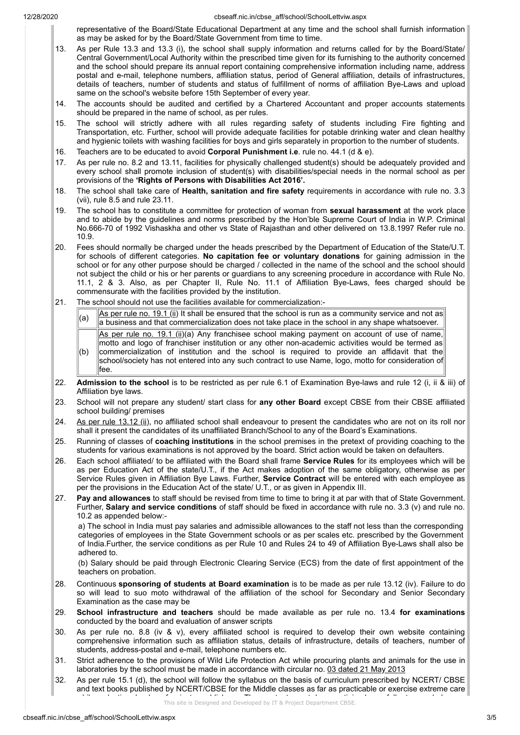12/28/2020 cbseaff.nic.in/cbse\_aff/school/SchoolLettviw.aspx

representative of the Board/State Educational Department at any time and the school shall furnish information as may be asked for by the Board/State Government from time to time.

- 13. As per Rule 13.3 and 13.3 (i), the school shall supply information and returns called for by the Board/State/ Central Government/Local Authority within the prescribed time given for its furnishing to the authority concerned and the school should prepare its annual report containing comprehensive information including name, address postal and e-mail, telephone numbers, affiliation status, period of General affiliation, details of infrastructures, details of teachers, number of students and status of fulfillment of norms of affiliation Bye-Laws and upload same on the school's website before 15th September of every year.
- 14. The accounts should be audited and certified by a Chartered Accountant and proper accounts statements should be prepared in the name of school, as per rules.
- 15. The school will strictly adhere with all rules regarding safety of students including Fire fighting and Transportation, etc. Further, school will provide adequate facilities for potable drinking water and clean healthy and hygienic toilets with washing facilities for boys and girls separately in proportion to the number of students.
- 16. Teachers are to be educated to avoid **Corporal Punishment i.e**. rule no. 44.1 (d & e).
- 17. As per rule no. 8.2 and 13.11, facilities for physically challenged student(s) should be adequately provided and every school shall promote inclusion of student(s) with disabilities/special needs in the normal school as per provisions of the **'Rights of Persons with Disabilities Act 2016'.**
- 18. The school shall take care of **Health, sanitation and fire safety** requirements in accordance with rule no. 3.3 (vii), rule 8.5 and rule 23.11.
- 19. The school has to constitute a committee for protection of woman from **sexual harassment** at the work place and to abide by the guidelines and norms prescribed by the Hon'ble Supreme Court of India in W.P. Criminal No.666-70 of 1992 Vishaskha and other vs State of Rajasthan and other delivered on 13.8.1997 Refer rule no. 10.9.
- 20. Fees should normally be charged under the heads prescribed by the Department of Education of the State/U.T. for schools of different categories. **No capitation fee or voluntary donations** for gaining admission in the school or for any other purpose should be charged / collected in the name of the school and the school should not subject the child or his or her parents or guardians to any screening procedure in accordance with Rule No. 11.1, 2 & 3. Also, as per Chapter II, Rule No. 11.1 of Affiliation Bye-Laws, fees charged should be commensurate with the facilities provided by the institution.
- 21. The school should not use the facilities available for commercialization:-

| (a) $\frac{ \text{As per rule no. 19.1 (ii)}{ \text{the one.} }$ It shall be ensured that the school is run as a community service and not as $\frac{ \text{As per rule}}{ \text{the one.} }$ |
|-----------------------------------------------------------------------------------------------------------------------------------------------------------------------------------------------|
|                                                                                                                                                                                               |

- (b) As per rule no. 19.1 (ii)(a) Any franchisee school making payment on account of use of name, motto and logo of franchiser institution or any other non-academic activities would be termed as commercialization of institution and the school is required to provide an affidavit that the
- school/society has not entered into any such contract to use Name, logo, motto for consideration of fee.
- 22. **Admission to the school** is to be restricted as per rule 6.1 of Examination Bye-laws and rule 12 (i, ii & iii) of Affiliation bye laws.
- 23. School will not prepare any student/ start class for **any other Board** except CBSE from their CBSE affiliated school building/ premises
- 24. As per rule 13.12 (ii), no affiliated school shall endeavour to present the candidates who are not on its roll nor shall it present the candidates of its unaffiliated Branch/School to any of the Board's Examinations.
- 25. Running of classes of **coaching institutions** in the school premises in the pretext of providing coaching to the students for various examinations is not approved by the board. Strict action would be taken on defaulters.
- 26. Each school affiliated/ to be affiliated with the Board shall frame **Service Rules** for its employees which will be as per Education Act of the state/U.T., if the Act makes adoption of the same obligatory, otherwise as per Service Rules given in Affiliation Bye Laws. Further, **Service Contract** will be entered with each employee as per the provisions in the Education Act of the state/ U.T., or as given in Appendix III.
- 27. **Pay and allowances** to staff should be revised from time to time to bring it at par with that of State Government. Further, **Salary and service conditions** of staff should be fixed in accordance with rule no. 3.3 (v) and rule no. 10.2 as appended below:-

a) The school in India must pay salaries and admissible allowances to the staff not less than the corresponding categories of employees in the State Government schools or as per scales etc. prescribed by the Government of India.Further, the service conditions as per Rule 10 and Rules 24 to 49 of Affiliation Bye-Laws shall also be adhered to.

(b) Salary should be paid through Electronic Clearing Service (ECS) from the date of first appointment of the teachers on probation.

- 28. Continuous **sponsoring of students at Board examination** is to be made as per rule 13.12 (iv). Failure to do so will lead to suo moto withdrawal of the affiliation of the school for Secondary and Senior Secondary Examination as the case may be
- 29. **School infrastructure and teachers** should be made available as per rule no. 13.4 **for examinations** conducted by the board and evaluation of answer scripts
- 30. As per rule no. 8.8 (iv & v), every affiliated school is required to develop their own website containing comprehensive information such as affiliation status, details of infrastructure, details of teachers, number of students, address-postal and e-mail, telephone numbers etc.
- 31. Strict adherence to the provisions of Wild Life Protection Act while procuring plants and animals for the use in laboratories by the school must be made in accordance with circular no. 03 dated 21 May 2013
- 32. As per rule 15.1 (d), the school will follow the syllabus on the basis of curriculum prescribed by NCERT/ CBSE and text books published by NCERT/CBSE for the Middle classes as far as practicable or exercise extreme care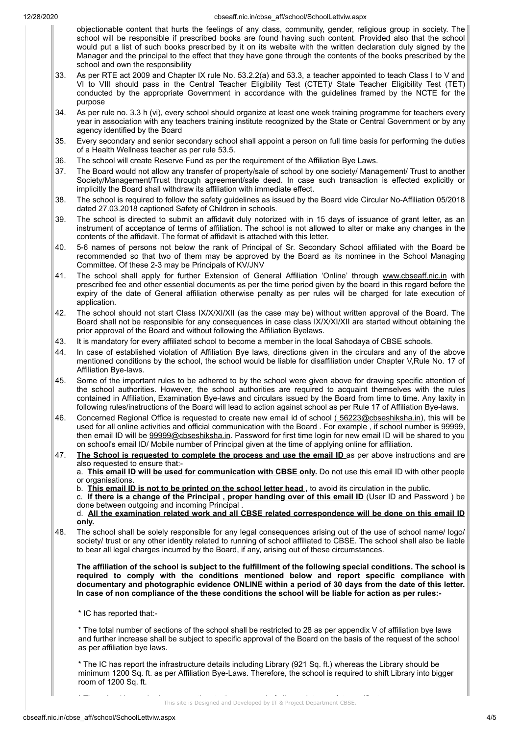- objectionable content that hurts the feelings of any class, community, gender, religious group in society. The school will be responsible if prescribed books are found having such content. Provided also that the school would put a list of such books prescribed by it on its website with the written declaration duly signed by the Manager and the principal to the effect that they have gone through the contents of the books prescribed by the school and own the responsibility
- 33. As per RTE act 2009 and Chapter IX rule No. 53.2.2(a) and 53.3, a teacher appointed to teach Class I to V and VI to VIII should pass in the Central Teacher Eligibility Test (CTET)/ State Teacher Eligibility Test (TET) conducted by the appropriate Government in accordance with the guidelines framed by the NCTE for the purpose
- 34. As per rule no. 3.3 h (vi), every school should organize at least one week training programme for teachers every year in association with any teachers training institute recognized by the State or Central Government or by any agency identified by the Board
- 35. Every secondary and senior secondary school shall appoint a person on full time basis for performing the duties of a Health Wellness teacher as per rule 53.5.
- 36. The school will create Reserve Fund as per the requirement of the Affiliation Bye Laws.
- 37. The Board would not allow any transfer of property/sale of school by one society/ Management/ Trust to another Society/Management/Trust through agreement/sale deed. In case such transaction is effected explicitly or implicitly the Board shall withdraw its affiliation with immediate effect.
- 38. The school is required to follow the safety guidelines as issued by the Board vide Circular No-Affiliation 05/2018 dated 27.03.2018 captioned Safety of Children in schools.
- 39. The school is directed to submit an affidavit duly notorized with in 15 days of issuance of grant letter, as an instrument of acceptance of terms of affiliation. The school is not allowed to alter or make any changes in the contents of the affidavit. The format of affidavit is attached with this letter.
- 40. 5-6 names of persons not below the rank of Principal of Sr. Secondary School affiliated with the Board be recommended so that two of them may be approved by the Board as its nominee in the School Managing Committee. Of these 2-3 may be Principals of KV/JNV
- 41. The school shall apply for further Extension of General Affiliation 'Online' through www.cbseaff.nic.in with prescribed fee and other essential documents as per the time period given by the board in this regard before the expiry of the date of General affiliation otherwise penalty as per rules will be charged for late execution of application.
- 42. The school should not start Class IX/X/XI/XII (as the case may be) without written approval of the Board. The Board shall not be responsible for any consequences in case class IX/X/XI/XII are started without obtaining the prior approval of the Board and without following the Affiliation Byelaws.
- 43. It is mandatory for every affiliated school to become a member in the local Sahodaya of CBSE schools.
- 44. In case of established violation of Affiliation Bye laws, directions given in the circulars and any of the above mentioned conditions by the school, the school would be liable for disaffiliation under Chapter V,Rule No. 17 of Affiliation Bye-laws.
- 45. Some of the important rules to be adhered to by the school were given above for drawing specific attention of the school authorities. However, the school authorities are required to acquaint themselves with the rules contained in Affiliation, Examination Bye-laws and circulars issued by the Board from time to time. Any laxity in following rules/instructions of the Board will lead to action against school as per Rule 17 of Affiliation Bye-laws.
- 46. Concerned Regional Office is requested to create new email id of school (56223@cbseshiksha.in), this will be used for all online activities and official communication with the Board . For example , if school number is 99999, then email ID will be 99999@cbseshiksha.in. Password for first time login for new email ID will be shared to you on school's email ID/ Mobile number of Principal given at the time of applying online for affiliation.
- 47. **The School is requested to complete the process and use the email ID** as per above instructions and are also requested to ensure that:-

a. **This email ID will be used for communication with CBSE only.** Do not use this email ID with other people or organisations.

b. **This email ID is not to be printed on the school letter head ,** to avoid its circulation in the public.

c. **If there is a change of the Principal , proper handing over of this email ID** (User ID and Password ) be done between outgoing and incoming Principal

d. **All the examination related work and all CBSE related correspondence will be done on this email ID only.**

48. The school shall be solely responsible for any legal consequences arising out of the use of school name/ logo/ society/ trust or any other identity related to running of school affiliated to CBSE. The school shall also be liable to bear all legal charges incurred by the Board, if any, arising out of these circumstances.

**The affiliation of the school is subject to the fulfillment of the following special conditions. The school is required to comply with the conditions mentioned below and report specific compliance with documentary and photographic evidence ONLINE within a period of 30 days from the date of this letter. In case of non compliance of the these conditions the school will be liable for action as per rules:-**

\* IC has reported that:-

\* The total number of sections of the school shall be restricted to 28 as per appendix V of affiliation bye laws and further increase shall be subject to specific approval of the Board on the basis of the request of the school as per affiliation bye laws.

\* The IC has report the infrastructure details including Library (921 Sq. ft.) whereas the Library should be minimum 1200 Sq. ft. as per Affiliation Bye-Laws. Therefore, the school is required to shift Library into bigger room of 1200 Sq. ft.